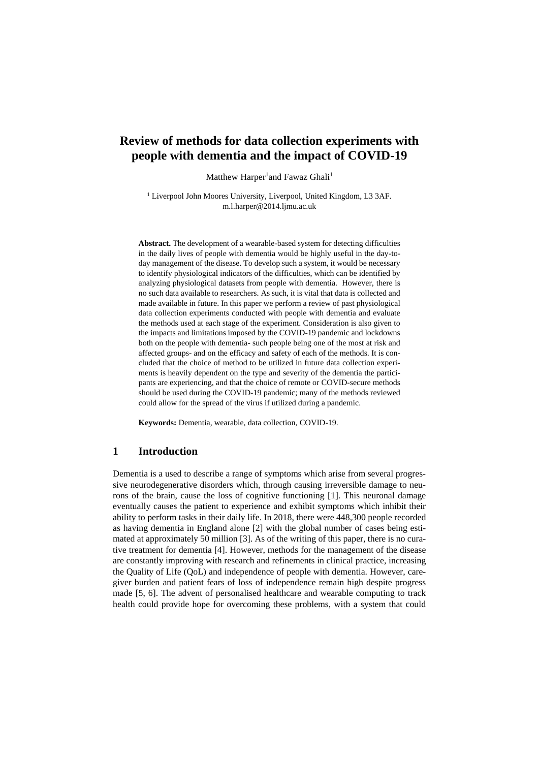# **Review of methods for data collection experiments with people with dementia and the impact of COVID-19**

Matthew Harper<sup>1</sup>and Fawaz Ghali<sup>1</sup>

<sup>1</sup> Liverpool John Moores University, Liverpool, United Kingdom, L3 3AF. m.l.harper@2014.ljmu.ac.uk

**Abstract.** The development of a wearable-based system for detecting difficulties in the daily lives of people with dementia would be highly useful in the day-today management of the disease. To develop such a system, it would be necessary to identify physiological indicators of the difficulties, which can be identified by analyzing physiological datasets from people with dementia. However, there is no such data available to researchers. As such, it is vital that data is collected and made available in future. In this paper we perform a review of past physiological data collection experiments conducted with people with dementia and evaluate the methods used at each stage of the experiment. Consideration is also given to the impacts and limitations imposed by the COVID-19 pandemic and lockdowns both on the people with dementia- such people being one of the most at risk and affected groups- and on the efficacy and safety of each of the methods. It is concluded that the choice of method to be utilized in future data collection experiments is heavily dependent on the type and severity of the dementia the participants are experiencing, and that the choice of remote or COVID-secure methods should be used during the COVID-19 pandemic; many of the methods reviewed could allow for the spread of the virus if utilized during a pandemic.

**Keywords:** Dementia, wearable, data collection, COVID-19.

# **1 Introduction**

Dementia is a used to describe a range of symptoms which arise from several progressive neurodegenerative disorders which, through causing irreversible damage to neurons of the brain, cause the loss of cognitive functioning [1]. This neuronal damage eventually causes the patient to experience and exhibit symptoms which inhibit their ability to perform tasks in their daily life. In 2018, there were 448,300 people recorded as having dementia in England alone [2] with the global number of cases being estimated at approximately 50 million [3]. As of the writing of this paper, there is no curative treatment for dementia [4]. However, methods for the management of the disease are constantly improving with research and refinements in clinical practice, increasing the Quality of Life (QoL) and independence of people with dementia. However, caregiver burden and patient fears of loss of independence remain high despite progress made [5, 6]. The advent of personalised healthcare and wearable computing to track health could provide hope for overcoming these problems, with a system that could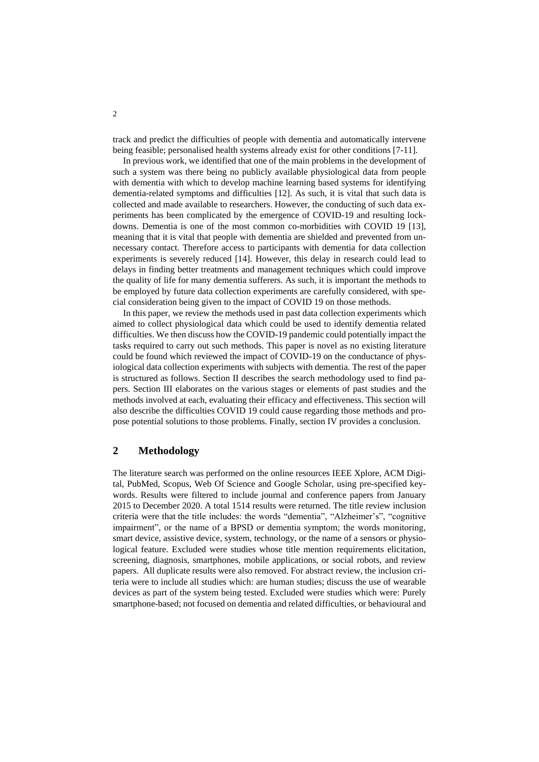track and predict the difficulties of people with dementia and automatically intervene being feasible; personalised health systems already exist for other conditions [7-11].

In previous work, we identified that one of the main problems in the development of such a system was there being no publicly available physiological data from people with dementia with which to develop machine learning based systems for identifying dementia-related symptoms and difficulties [12]. As such, it is vital that such data is collected and made available to researchers. However, the conducting of such data experiments has been complicated by the emergence of COVID-19 and resulting lockdowns. Dementia is one of the most common co-morbidities with COVID 19 [13], meaning that it is vital that people with dementia are shielded and prevented from unnecessary contact. Therefore access to participants with dementia for data collection experiments is severely reduced [14]. However, this delay in research could lead to delays in finding better treatments and management techniques which could improve the quality of life for many dementia sufferers. As such, it is important the methods to be employed by future data collection experiments are carefully considered, with special consideration being given to the impact of COVID 19 on those methods.

In this paper, we review the methods used in past data collection experiments which aimed to collect physiological data which could be used to identify dementia related difficulties. We then discuss how the COVID-19 pandemic could potentially impact the tasks required to carry out such methods. This paper is novel as no existing literature could be found which reviewed the impact of COVID-19 on the conductance of physiological data collection experiments with subjects with dementia. The rest of the paper is structured as follows. Section II describes the search methodology used to find papers. Section III elaborates on the various stages or elements of past studies and the methods involved at each, evaluating their efficacy and effectiveness. This section will also describe the difficulties COVID 19 could cause regarding those methods and propose potential solutions to those problems. Finally, section IV provides a conclusion.

# **2 Methodology**

The literature search was performed on the online resources IEEE Xplore, ACM Digital, PubMed, Scopus, Web Of Science and Google Scholar, using pre-specified keywords. Results were filtered to include journal and conference papers from January 2015 to December 2020. A total 1514 results were returned. The title review inclusion criteria were that the title includes: the words "dementia", "Alzheimer's", "cognitive impairment", or the name of a BPSD or dementia symptom; the words monitoring, smart device, assistive device, system, technology, or the name of a sensors or physiological feature. Excluded were studies whose title mention requirements elicitation, screening, diagnosis, smartphones, mobile applications, or social robots, and review papers. All duplicate results were also removed. For abstract review, the inclusion criteria were to include all studies which: are human studies; discuss the use of wearable devices as part of the system being tested. Excluded were studies which were: Purely smartphone-based; not focused on dementia and related difficulties, or behavioural and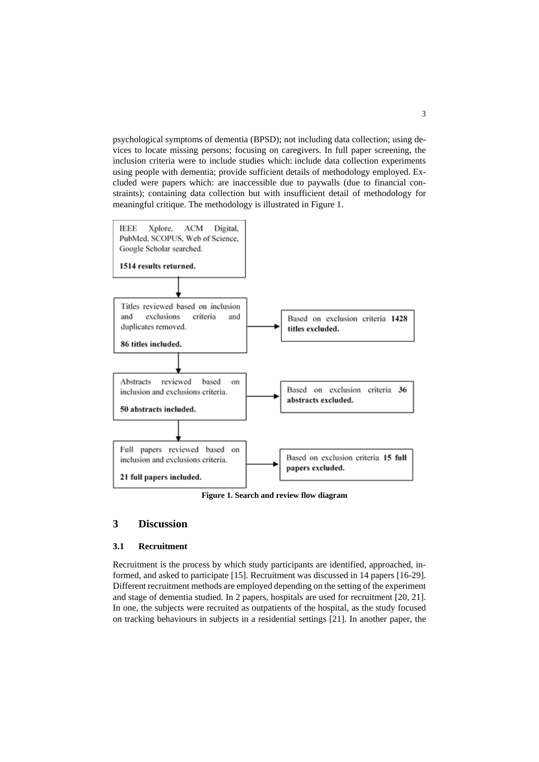psychological symptoms of dementia (BPSD); not including data collection; using devices to locate missing persons; focusing on caregivers. In full paper screening, the inclusion criteria were to include studies which: include data collection experiments using people with dementia; provide sufficient details of methodology employed. Excluded were papers which: are inaccessible due to paywalls (due to financial constraints); containing data collection but with insufficient detail of methodology for meaningful critique. The methodology is illustrated in Figure 1.



**Figure 1. Search and review flow diagram**

# **3 Discussion**

#### **3.1 Recruitment**

Recruitment is the process by which study participants are identified, approached, informed, and asked to participate [15]. Recruitment was discussed in 14 papers [16-29]. Different recruitment methods are employed depending on the setting of the experiment and stage of dementia studied. In 2 papers, hospitals are used for recruitment [20, 21]. In one, the subjects were recruited as outpatients of the hospital, as the study focused on tracking behaviours in subjects in a residential settings [21]. In another paper, the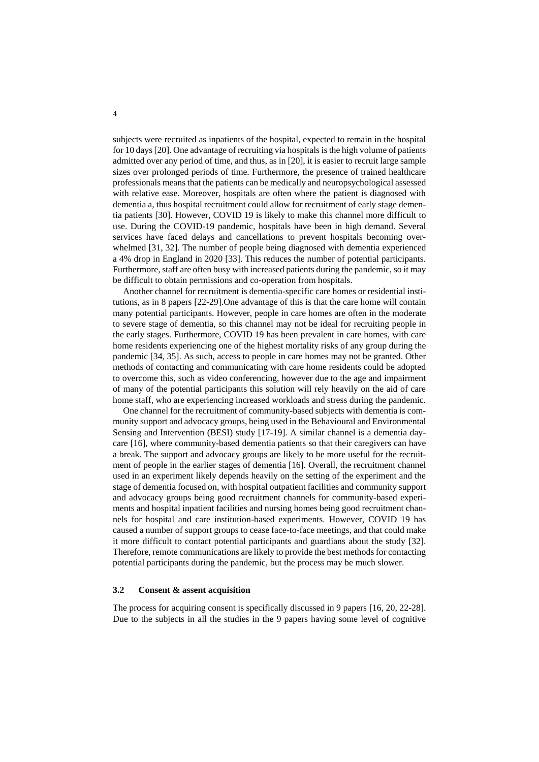subjects were recruited as inpatients of the hospital, expected to remain in the hospital for 10 days [20]. One advantage of recruiting via hospitals is the high volume of patients admitted over any period of time, and thus, as in [20], it is easier to recruit large sample sizes over prolonged periods of time. Furthermore, the presence of trained healthcare professionals means that the patients can be medically and neuropsychological assessed with relative ease. Moreover, hospitals are often where the patient is diagnosed with dementia a, thus hospital recruitment could allow for recruitment of early stage dementia patients [30]. However, COVID 19 is likely to make this channel more difficult to use. During the COVID-19 pandemic, hospitals have been in high demand. Several services have faced delays and cancellations to prevent hospitals becoming overwhelmed [31, 32]. The number of people being diagnosed with dementia experienced a 4% drop in England in 2020 [33]. This reduces the number of potential participants. Furthermore, staff are often busy with increased patients during the pandemic, so it may be difficult to obtain permissions and co-operation from hospitals.

Another channel for recruitment is dementia-specific care homes or residential institutions, as in 8 papers [22-29].One advantage of this is that the care home will contain many potential participants. However, people in care homes are often in the moderate to severe stage of dementia, so this channel may not be ideal for recruiting people in the early stages. Furthermore, COVID 19 has been prevalent in care homes, with care home residents experiencing one of the highest mortality risks of any group during the pandemic [34, 35]. As such, access to people in care homes may not be granted. Other methods of contacting and communicating with care home residents could be adopted to overcome this, such as video conferencing, however due to the age and impairment of many of the potential participants this solution will rely heavily on the aid of care home staff, who are experiencing increased workloads and stress during the pandemic.

One channel for the recruitment of community-based subjects with dementia is community support and advocacy groups, being used in the Behavioural and Environmental Sensing and Intervention (BESI) study [17-19]. A similar channel is a dementia daycare [16], where community-based dementia patients so that their caregivers can have a break. The support and advocacy groups are likely to be more useful for the recruitment of people in the earlier stages of dementia [16]. Overall, the recruitment channel used in an experiment likely depends heavily on the setting of the experiment and the stage of dementia focused on, with hospital outpatient facilities and community support and advocacy groups being good recruitment channels for community-based experiments and hospital inpatient facilities and nursing homes being good recruitment channels for hospital and care institution-based experiments. However, COVID 19 has caused a number of support groups to cease face-to-face meetings, and that could make it more difficult to contact potential participants and guardians about the study [32]. Therefore, remote communications are likely to provide the best methods for contacting potential participants during the pandemic, but the process may be much slower.

#### **3.2 Consent & assent acquisition**

The process for acquiring consent is specifically discussed in 9 papers [16, 20, 22-28]. Due to the subjects in all the studies in the 9 papers having some level of cognitive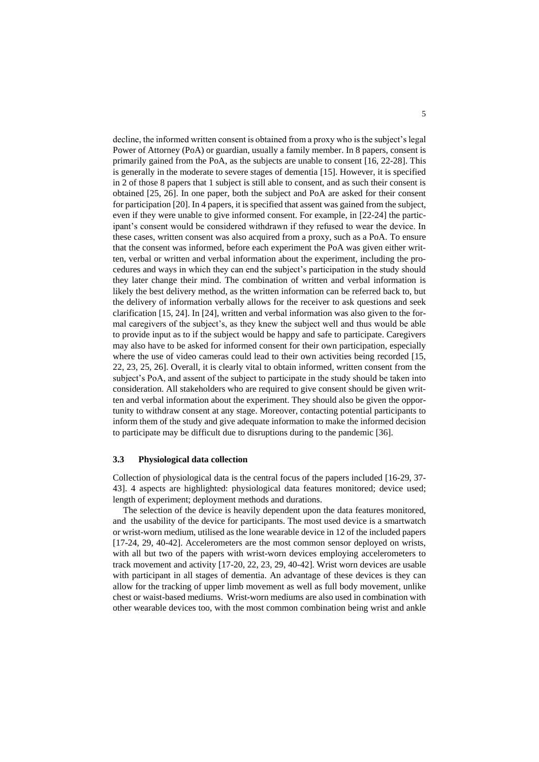decline, the informed written consent is obtained from a proxy who is the subject's legal Power of Attorney (PoA) or guardian, usually a family member. In 8 papers, consent is primarily gained from the PoA, as the subjects are unable to consent [16, 22-28]. This is generally in the moderate to severe stages of dementia [15]. However, it is specified in 2 of those 8 papers that 1 subject is still able to consent, and as such their consent is obtained [25, 26]. In one paper, both the subject and PoA are asked for their consent for participation [20]. In 4 papers, it is specified that assent was gained from the subject, even if they were unable to give informed consent. For example, in [22-24] the participant's consent would be considered withdrawn if they refused to wear the device. In these cases, written consent was also acquired from a proxy, such as a PoA. To ensure that the consent was informed, before each experiment the PoA was given either written, verbal or written and verbal information about the experiment, including the procedures and ways in which they can end the subject's participation in the study should they later change their mind. The combination of written and verbal information is likely the best delivery method, as the written information can be referred back to, but the delivery of information verbally allows for the receiver to ask questions and seek clarification [15, 24]. In [24], written and verbal information was also given to the formal caregivers of the subject's, as they knew the subject well and thus would be able to provide input as to if the subject would be happy and safe to participate. Caregivers may also have to be asked for informed consent for their own participation, especially where the use of video cameras could lead to their own activities being recorded [15, 22, 23, 25, 26]. Overall, it is clearly vital to obtain informed, written consent from the subject's PoA, and assent of the subject to participate in the study should be taken into consideration. All stakeholders who are required to give consent should be given written and verbal information about the experiment. They should also be given the opportunity to withdraw consent at any stage. Moreover, contacting potential participants to inform them of the study and give adequate information to make the informed decision to participate may be difficult due to disruptions during to the pandemic [36].

#### **3.3 Physiological data collection**

Collection of physiological data is the central focus of the papers included [16-29, 37- 43]. 4 aspects are highlighted: physiological data features monitored; device used; length of experiment; deployment methods and durations.

The selection of the device is heavily dependent upon the data features monitored, and the usability of the device for participants. The most used device is a smartwatch or wrist-worn medium, utilised as the lone wearable device in 12 of the included papers [17-24, 29, 40-42]. Accelerometers are the most common sensor deployed on wrists, with all but two of the papers with wrist-worn devices employing accelerometers to track movement and activity [17-20, 22, 23, 29, 40-42]. Wrist worn devices are usable with participant in all stages of dementia. An advantage of these devices is they can allow for the tracking of upper limb movement as well as full body movement, unlike chest or waist-based mediums. Wrist-worn mediums are also used in combination with other wearable devices too, with the most common combination being wrist and ankle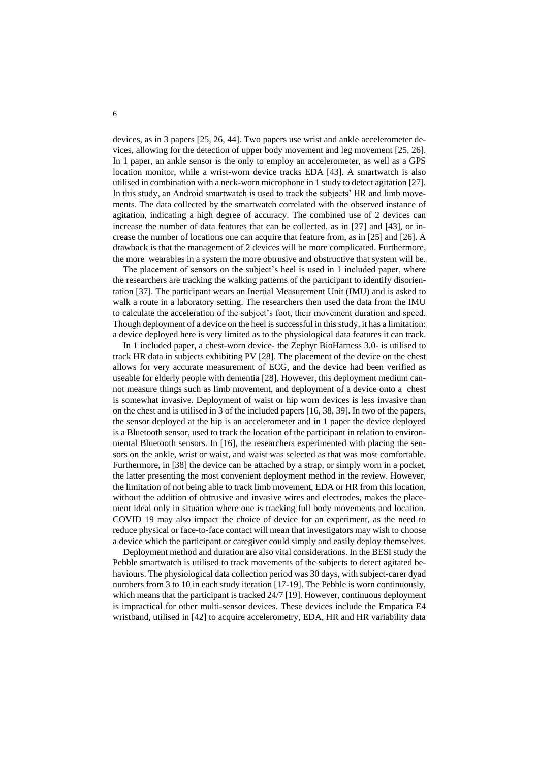devices, as in 3 papers [25, 26, 44]. Two papers use wrist and ankle accelerometer devices, allowing for the detection of upper body movement and leg movement [25, 26]. In 1 paper, an ankle sensor is the only to employ an accelerometer, as well as a GPS location monitor, while a wrist-worn device tracks EDA [43]. A smartwatch is also utilised in combination with a neck-worn microphone in 1 study to detect agitation [27]. In this study, an Android smartwatch is used to track the subjects' HR and limb movements. The data collected by the smartwatch correlated with the observed instance of agitation, indicating a high degree of accuracy. The combined use of 2 devices can increase the number of data features that can be collected, as in [27] and [43], or increase the number of locations one can acquire that feature from, as in [25] and [26]. A drawback is that the management of 2 devices will be more complicated. Furthermore, the more wearables in a system the more obtrusive and obstructive that system will be.

The placement of sensors on the subject's heel is used in 1 included paper, where the researchers are tracking the walking patterns of the participant to identify disorientation [37]. The participant wears an Inertial Measurement Unit (IMU) and is asked to walk a route in a laboratory setting. The researchers then used the data from the IMU to calculate the acceleration of the subject's foot, their movement duration and speed. Though deployment of a device on the heel is successful in this study, it has a limitation: a device deployed here is very limited as to the physiological data features it can track.

In 1 included paper, a chest-worn device- the Zephyr BioHarness 3.0- is utilised to track HR data in subjects exhibiting PV [28]. The placement of the device on the chest allows for very accurate measurement of ECG, and the device had been verified as useable for elderly people with dementia [28]. However, this deployment medium cannot measure things such as limb movement, and deployment of a device onto a chest is somewhat invasive. Deployment of waist or hip worn devices is less invasive than on the chest and is utilised in 3 of the included papers [16, 38, 39]. In two of the papers, the sensor deployed at the hip is an accelerometer and in 1 paper the device deployed is a Bluetooth sensor, used to track the location of the participant in relation to environmental Bluetooth sensors. In [16], the researchers experimented with placing the sensors on the ankle, wrist or waist, and waist was selected as that was most comfortable. Furthermore, in [38] the device can be attached by a strap, or simply worn in a pocket, the latter presenting the most convenient deployment method in the review. However, the limitation of not being able to track limb movement, EDA or HR from this location, without the addition of obtrusive and invasive wires and electrodes, makes the placement ideal only in situation where one is tracking full body movements and location. COVID 19 may also impact the choice of device for an experiment, as the need to reduce physical or face-to-face contact will mean that investigators may wish to choose a device which the participant or caregiver could simply and easily deploy themselves.

Deployment method and duration are also vital considerations. In the BESI study the Pebble smartwatch is utilised to track movements of the subjects to detect agitated behaviours. The physiological data collection period was 30 days, with subject-carer dyad numbers from 3 to 10 in each study iteration [17-19]. The Pebble is worn continuously, which means that the participant is tracked  $24/7$  [19]. However, continuous deployment is impractical for other multi-sensor devices. These devices include the Empatica E4 wristband, utilised in [42] to acquire accelerometry, EDA, HR and HR variability data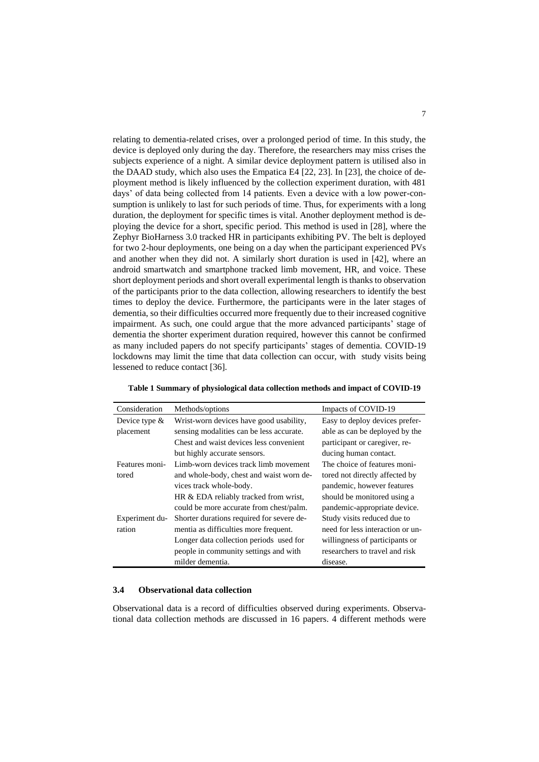relating to dementia-related crises, over a prolonged period of time. In this study, the device is deployed only during the day. Therefore, the researchers may miss crises the subjects experience of a night. A similar device deployment pattern is utilised also in the DAAD study, which also uses the Empatica E4 [22, 23]. In [23], the choice of deployment method is likely influenced by the collection experiment duration, with 481 days' of data being collected from 14 patients. Even a device with a low power-consumption is unlikely to last for such periods of time. Thus, for experiments with a long duration, the deployment for specific times is vital. Another deployment method is deploying the device for a short, specific period. This method is used in [28], where the Zephyr BioHarness 3.0 tracked HR in participants exhibiting PV. The belt is deployed for two 2-hour deployments, one being on a day when the participant experienced PVs and another when they did not. A similarly short duration is used in [42], where an android smartwatch and smartphone tracked limb movement, HR, and voice. These short deployment periods and short overall experimental length is thanks to observation of the participants prior to the data collection, allowing researchers to identify the best times to deploy the device. Furthermore, the participants were in the later stages of dementia, so their difficulties occurred more frequently due to their increased cognitive impairment. As such, one could argue that the more advanced participants' stage of dementia the shorter experiment duration required, however this cannot be confirmed as many included papers do not specify participants' stages of dementia. COVID-19 lockdowns may limit the time that data collection can occur, with study visits being lessened to reduce contact [36].

| Consideration    | Methods/options                           | Impacts of COVID-19              |
|------------------|-------------------------------------------|----------------------------------|
| Device type $\&$ | Wrist-worn devices have good usability,   | Easy to deploy devices prefer-   |
| placement        | sensing modalities can be less accurate.  | able as can be deployed by the   |
|                  | Chest and waist devices less convenient   | participant or caregiver, re-    |
|                  | but highly accurate sensors.              | ducing human contact.            |
| Features moni-   | Limb-worn devices track limb movement     | The choice of features moni-     |
| tored            | and whole-body, chest and waist worn de-  | tored not directly affected by   |
|                  | vices track whole-body.                   | pandemic, however features       |
|                  | HR & EDA reliably tracked from wrist,     | should be monitored using a      |
|                  | could be more accurate from chest/palm.   | pandemic-appropriate device.     |
| Experiment du-   | Shorter durations required for severe de- | Study visits reduced due to      |
| ration           | mentia as difficulties more frequent.     | need for less interaction or un- |
|                  | Longer data collection periods used for   | willingness of participants or   |
|                  | people in community settings and with     | researchers to travel and risk   |
|                  | milder dementia.                          | disease.                         |

|  | Table 1 Summary of physiological data collection methods and impact of COVID-19 |  |
|--|---------------------------------------------------------------------------------|--|
|  |                                                                                 |  |

#### **3.4 Observational data collection**

Observational data is a record of difficulties observed during experiments. Observational data collection methods are discussed in 16 papers. 4 different methods were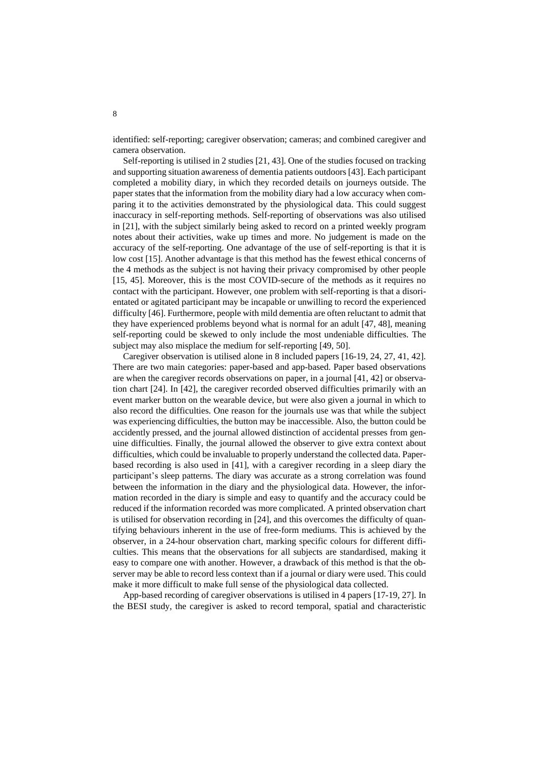identified: self-reporting; caregiver observation; cameras; and combined caregiver and camera observation.

Self-reporting is utilised in 2 studies [21, 43]. One of the studies focused on tracking and supporting situation awareness of dementia patients outdoors [43]. Each participant completed a mobility diary, in which they recorded details on journeys outside. The paper states that the information from the mobility diary had a low accuracy when comparing it to the activities demonstrated by the physiological data. This could suggest inaccuracy in self-reporting methods. Self-reporting of observations was also utilised in [21], with the subject similarly being asked to record on a printed weekly program notes about their activities, wake up times and more. No judgement is made on the accuracy of the self-reporting. One advantage of the use of self-reporting is that it is low cost [15]. Another advantage is that this method has the fewest ethical concerns of the 4 methods as the subject is not having their privacy compromised by other people [15, 45]. Moreover, this is the most COVID-secure of the methods as it requires no contact with the participant. However, one problem with self-reporting is that a disorientated or agitated participant may be incapable or unwilling to record the experienced difficulty [46]. Furthermore, people with mild dementia are often reluctant to admit that they have experienced problems beyond what is normal for an adult [47, 48], meaning self-reporting could be skewed to only include the most undeniable difficulties. The subject may also misplace the medium for self-reporting [49, 50].

Caregiver observation is utilised alone in 8 included papers [16-19, 24, 27, 41, 42]. There are two main categories: paper-based and app-based. Paper based observations are when the caregiver records observations on paper, in a journal [41, 42] or observation chart [24]. In [42], the caregiver recorded observed difficulties primarily with an event marker button on the wearable device, but were also given a journal in which to also record the difficulties. One reason for the journals use was that while the subject was experiencing difficulties, the button may be inaccessible. Also, the button could be accidently pressed, and the journal allowed distinction of accidental presses from genuine difficulties. Finally, the journal allowed the observer to give extra context about difficulties, which could be invaluable to properly understand the collected data. Paperbased recording is also used in [41], with a caregiver recording in a sleep diary the participant's sleep patterns. The diary was accurate as a strong correlation was found between the information in the diary and the physiological data. However, the information recorded in the diary is simple and easy to quantify and the accuracy could be reduced if the information recorded was more complicated. A printed observation chart is utilised for observation recording in [24], and this overcomes the difficulty of quantifying behaviours inherent in the use of free-form mediums. This is achieved by the observer, in a 24-hour observation chart, marking specific colours for different difficulties. This means that the observations for all subjects are standardised, making it easy to compare one with another. However, a drawback of this method is that the observer may be able to record less context than if a journal or diary were used. This could make it more difficult to make full sense of the physiological data collected.

App-based recording of caregiver observations is utilised in 4 papers [17-19, 27]. In the BESI study, the caregiver is asked to record temporal, spatial and characteristic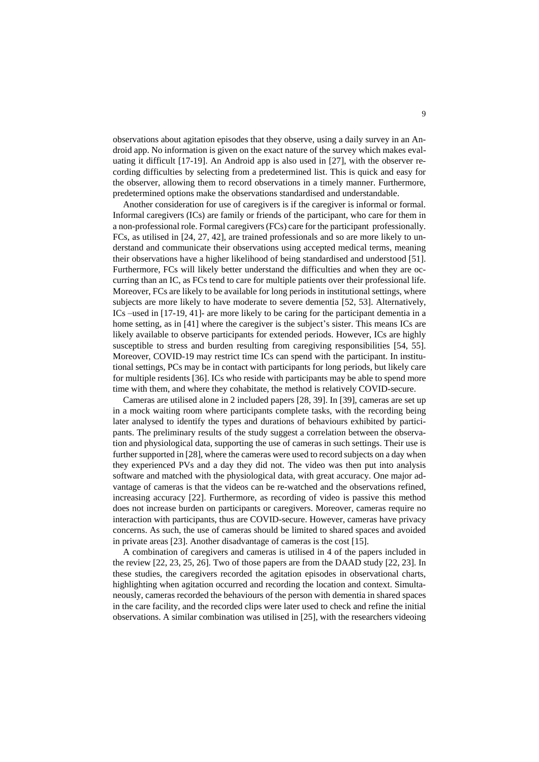observations about agitation episodes that they observe, using a daily survey in an Android app. No information is given on the exact nature of the survey which makes evaluating it difficult [17-19]. An Android app is also used in [27], with the observer recording difficulties by selecting from a predetermined list. This is quick and easy for the observer, allowing them to record observations in a timely manner. Furthermore, predetermined options make the observations standardised and understandable.

Another consideration for use of caregivers is if the caregiver is informal or formal. Informal caregivers (ICs) are family or friends of the participant, who care for them in a non-professional role. Formal caregivers(FCs) care for the participant professionally. FCs, as utilised in [24, 27, 42], are trained professionals and so are more likely to understand and communicate their observations using accepted medical terms, meaning their observations have a higher likelihood of being standardised and understood [51]. Furthermore, FCs will likely better understand the difficulties and when they are occurring than an IC, as FCs tend to care for multiple patients over their professional life. Moreover, FCs are likely to be available for long periods in institutional settings, where subjects are more likely to have moderate to severe dementia [52, 53]. Alternatively, ICs –used in [17-19, 41]- are more likely to be caring for the participant dementia in a home setting, as in [41] where the caregiver is the subject's sister. This means ICs are likely available to observe participants for extended periods. However, ICs are highly susceptible to stress and burden resulting from caregiving responsibilities [54, 55]. Moreover, COVID-19 may restrict time ICs can spend with the participant. In institutional settings, PCs may be in contact with participants for long periods, but likely care for multiple residents [36]. ICs who reside with participants may be able to spend more time with them, and where they cohabitate, the method is relatively COVID-secure.

Cameras are utilised alone in 2 included papers [28, 39]. In [39], cameras are set up in a mock waiting room where participants complete tasks, with the recording being later analysed to identify the types and durations of behaviours exhibited by participants. The preliminary results of the study suggest a correlation between the observation and physiological data, supporting the use of cameras in such settings. Their use is further supported in [28], where the cameras were used to record subjects on a day when they experienced PVs and a day they did not. The video was then put into analysis software and matched with the physiological data, with great accuracy. One major advantage of cameras is that the videos can be re-watched and the observations refined, increasing accuracy [22]. Furthermore, as recording of video is passive this method does not increase burden on participants or caregivers. Moreover, cameras require no interaction with participants, thus are COVID-secure. However, cameras have privacy concerns. As such, the use of cameras should be limited to shared spaces and avoided in private areas [23]. Another disadvantage of cameras is the cost [15].

A combination of caregivers and cameras is utilised in 4 of the papers included in the review [22, 23, 25, 26]. Two of those papers are from the DAAD study [22, 23]. In these studies, the caregivers recorded the agitation episodes in observational charts, highlighting when agitation occurred and recording the location and context. Simultaneously, cameras recorded the behaviours of the person with dementia in shared spaces in the care facility, and the recorded clips were later used to check and refine the initial observations. A similar combination was utilised in [25], with the researchers videoing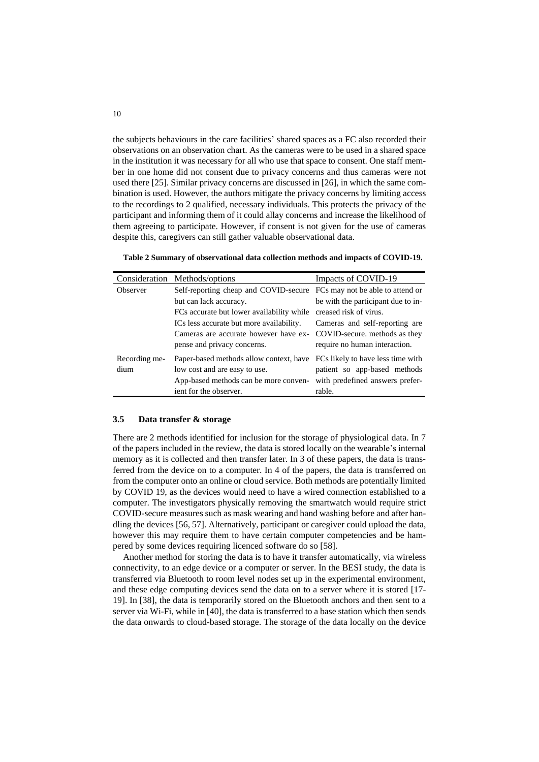the subjects behaviours in the care facilities' shared spaces as a FC also recorded their observations on an observation chart. As the cameras were to be used in a shared space in the institution it was necessary for all who use that space to consent. One staff member in one home did not consent due to privacy concerns and thus cameras were not used there [25]. Similar privacy concerns are discussed in [26], in which the same combination is used. However, the authors mitigate the privacy concerns by limiting access to the recordings to 2 qualified, necessary individuals. This protects the privacy of the participant and informing them of it could allay concerns and increase the likelihood of them agreeing to participate. However, if consent is not given for the use of cameras despite this, caregivers can still gather valuable observational data.

**Table 2 Summary of observational data collection methods and impacts of COVID-19.**

|               | Consideration Methods/options                                             | Impacts of COVID-19                |
|---------------|---------------------------------------------------------------------------|------------------------------------|
| Observer      | Self-reporting cheap and COVID-secure FCs may not be able to attend or    |                                    |
|               | but can lack accuracy.                                                    | be with the participant due to in- |
|               | FCs accurate but lower availability while creased risk of virus.          |                                    |
|               | ICs less accurate but more availability.                                  | Cameras and self-reporting are     |
|               | Cameras are accurate however have ex- COVID-secure, methods as they       |                                    |
|               | pense and privacy concerns.                                               | require no human interaction.      |
| Recording me- | Paper-based methods allow context, have FCs likely to have less time with |                                    |
| dium          | low cost and are easy to use.                                             | patient so app-based methods       |
|               | App-based methods can be more conven-                                     | with predefined answers prefer-    |
|               | jent for the observer.                                                    | rable.                             |

#### **3.5 Data transfer & storage**

There are 2 methods identified for inclusion for the storage of physiological data. In 7 of the papers included in the review, the data is stored locally on the wearable's internal memory as it is collected and then transfer later. In 3 of these papers, the data is transferred from the device on to a computer. In 4 of the papers, the data is transferred on from the computer onto an online or cloud service. Both methods are potentially limited by COVID 19, as the devices would need to have a wired connection established to a computer. The investigators physically removing the smartwatch would require strict COVID-secure measures such as mask wearing and hand washing before and after handling the devices [56, 57]. Alternatively, participant or caregiver could upload the data, however this may require them to have certain computer competencies and be hampered by some devices requiring licenced software do so [58].

Another method for storing the data is to have it transfer automatically, via wireless connectivity, to an edge device or a computer or server. In the BESI study, the data is transferred via Bluetooth to room level nodes set up in the experimental environment, and these edge computing devices send the data on to a server where it is stored [17- 19]. In [38], the data is temporarily stored on the Bluetooth anchors and then sent to a server via Wi-Fi, while in [40], the data is transferred to a base station which then sends the data onwards to cloud-based storage. The storage of the data locally on the device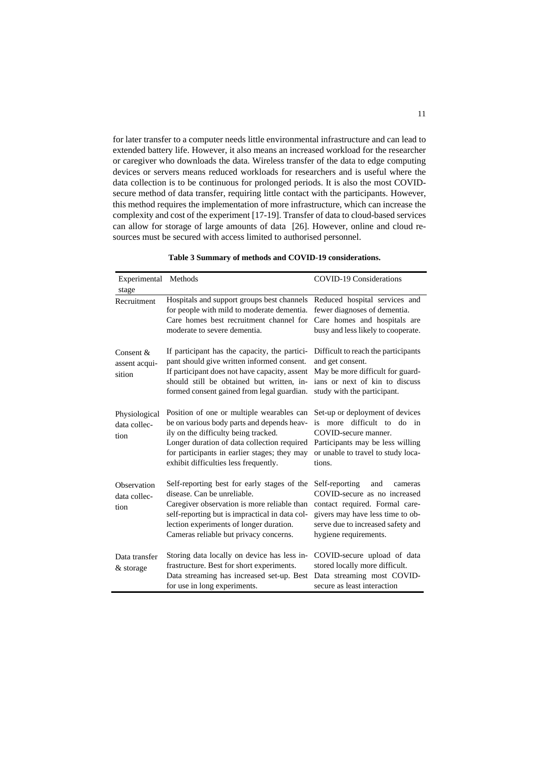for later transfer to a computer needs little environmental infrastructure and can lead to extended battery life. However, it also means an increased workload for the researcher or caregiver who downloads the data. Wireless transfer of the data to edge computing devices or servers means reduced workloads for researchers and is useful where the data collection is to be continuous for prolonged periods. It is also the most COVIDsecure method of data transfer, requiring little contact with the participants. However, this method requires the implementation of more infrastructure, which can increase the complexity and cost of the experiment [17-19]. Transfer of data to cloud-based services can allow for storage of large amounts of data [26]. However, online and cloud resources must be secured with access limited to authorised personnel.

| Experimental Methods                  |                                                                                                                                                                                                                                                                         | <b>COVID-19 Considerations</b>                                                                                                                                                                       |
|---------------------------------------|-------------------------------------------------------------------------------------------------------------------------------------------------------------------------------------------------------------------------------------------------------------------------|------------------------------------------------------------------------------------------------------------------------------------------------------------------------------------------------------|
| stage                                 |                                                                                                                                                                                                                                                                         |                                                                                                                                                                                                      |
| Recruitment                           | Hospitals and support groups best channels<br>for people with mild to moderate dementia.<br>Care homes best recruitment channel for<br>moderate to severe dementia.                                                                                                     | Reduced hospital services and<br>fewer diagnoses of dementia.<br>Care homes and hospitals are<br>busy and less likely to cooperate.                                                                  |
| Consent &<br>assent acqui-<br>sition  | If participant has the capacity, the partici-<br>pant should give written informed consent.<br>If participant does not have capacity, assent<br>should still be obtained but written, in-<br>formed consent gained from legal guardian.                                 | Difficult to reach the participants<br>and get consent.<br>May be more difficult for guard-<br>ians or next of kin to discuss<br>study with the participant.                                         |
| Physiological<br>data collec-<br>tion | Position of one or multiple wearables can<br>be on various body parts and depends heav-<br>ily on the difficulty being tracked.<br>Longer duration of data collection required<br>for participants in earlier stages; they may<br>exhibit difficulties less frequently. | Set-up or deployment of devices<br>more difficult to<br>is<br>do in<br>COVID-secure manner.<br>Participants may be less willing<br>or unable to travel to study loca-<br>tions.                      |
| Observation<br>data collec-<br>tion   | Self-reporting best for early stages of the<br>disease. Can be unreliable.<br>Caregiver observation is more reliable than<br>self-reporting but is impractical in data col-<br>lection experiments of longer duration.<br>Cameras reliable but privacy concerns.        | Self-reporting<br>and<br>cameras<br>COVID-secure as no increased<br>contact required. Formal care-<br>givers may have less time to ob-<br>serve due to increased safety and<br>hygiene requirements. |
| Data transfer<br>& storage            | Storing data locally on device has less in-<br>frastructure. Best for short experiments.<br>Data streaming has increased set-up. Best<br>for use in long experiments.                                                                                                   | COVID-secure upload of data<br>stored locally more difficult.<br>Data streaming most COVID-<br>secure as least interaction                                                                           |

**Table 3 Summary of methods and COVID-19 considerations.**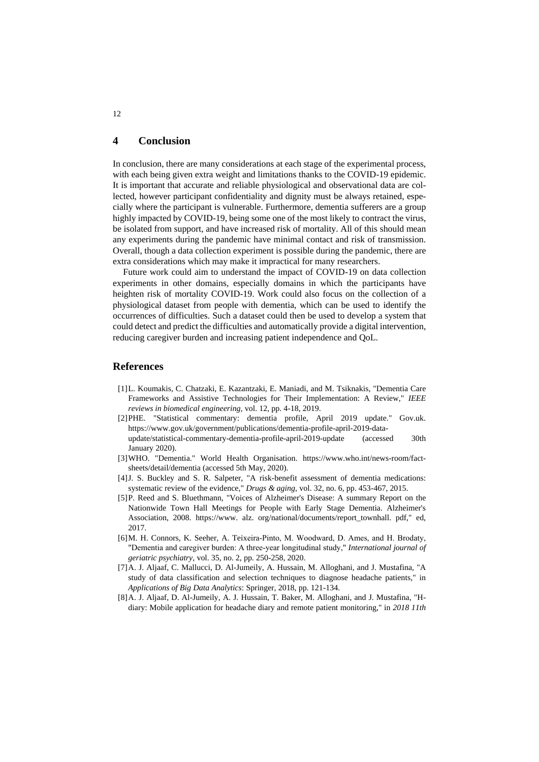# **4 Conclusion**

In conclusion, there are many considerations at each stage of the experimental process, with each being given extra weight and limitations thanks to the COVID-19 epidemic. It is important that accurate and reliable physiological and observational data are collected, however participant confidentiality and dignity must be always retained, especially where the participant is vulnerable. Furthermore, dementia sufferers are a group highly impacted by COVID-19, being some one of the most likely to contract the virus, be isolated from support, and have increased risk of mortality. All of this should mean any experiments during the pandemic have minimal contact and risk of transmission. Overall, though a data collection experiment is possible during the pandemic, there are extra considerations which may make it impractical for many researchers.

Future work could aim to understand the impact of COVID-19 on data collection experiments in other domains, especially domains in which the participants have heighten risk of mortality COVID-19. Work could also focus on the collection of a physiological dataset from people with dementia, which can be used to identify the occurrences of difficulties. Such a dataset could then be used to develop a system that could detect and predict the difficulties and automatically provide a digital intervention, reducing caregiver burden and increasing patient independence and QoL.

### **References**

- [1]L. Koumakis, C. Chatzaki, E. Kazantzaki, E. Maniadi, and M. Tsiknakis, "Dementia Care Frameworks and Assistive Technologies for Their Implementation: A Review," *IEEE reviews in biomedical engineering,* vol. 12, pp. 4-18, 2019.
- [2]PHE. "Statistical commentary: dementia profile, April 2019 update." Gov.uk. [https://www.gov.uk/government/publications/dementia-profile-april-2019-data](https://www.gov.uk/government/publications/dementia-profile-april-2019-data-update/statistical-commentary-dementia-profile-april-2019-update)[update/statistical-commentary-dementia-profile-april-2019-update](https://www.gov.uk/government/publications/dementia-profile-april-2019-data-update/statistical-commentary-dementia-profile-april-2019-update) (accessed 30th January 2020).
- [3]WHO. "Dementia." World Health Organisation. [https://www.who.int/news-room/fact](https://www.who.int/news-room/fact-sheets/detail/dementia)[sheets/detail/dementia](https://www.who.int/news-room/fact-sheets/detail/dementia) (accessed 5th May, 2020).
- [4]J. S. Buckley and S. R. Salpeter, "A risk-benefit assessment of dementia medications: systematic review of the evidence," *Drugs & aging,* vol. 32, no. 6, pp. 453-467, 2015.
- [5]P. Reed and S. Bluethmann, "Voices of Alzheimer's Disease: A summary Report on the Nationwide Town Hall Meetings for People with Early Stage Dementia. Alzheimer's Association, 2008. [https://www.](https://www/) alz. org/national/documents/report\_townhall. pdf," ed, 2017.
- [6]M. H. Connors, K. Seeher, A. Teixeira‐Pinto, M. Woodward, D. Ames, and H. Brodaty, "Dementia and caregiver burden: A three‐year longitudinal study," *International journal of geriatric psychiatry,* vol. 35, no. 2, pp. 250-258, 2020.
- [7]A. J. Aljaaf, C. Mallucci, D. Al-Jumeily, A. Hussain, M. Alloghani, and J. Mustafina, "A study of data classification and selection techniques to diagnose headache patients," in *Applications of Big Data Analytics*: Springer, 2018, pp. 121-134.
- [8]A. J. Aljaaf, D. Al-Jumeily, A. J. Hussain, T. Baker, M. Alloghani, and J. Mustafina, "Hdiary: Mobile application for headache diary and remote patient monitoring," in *2018 11th*

12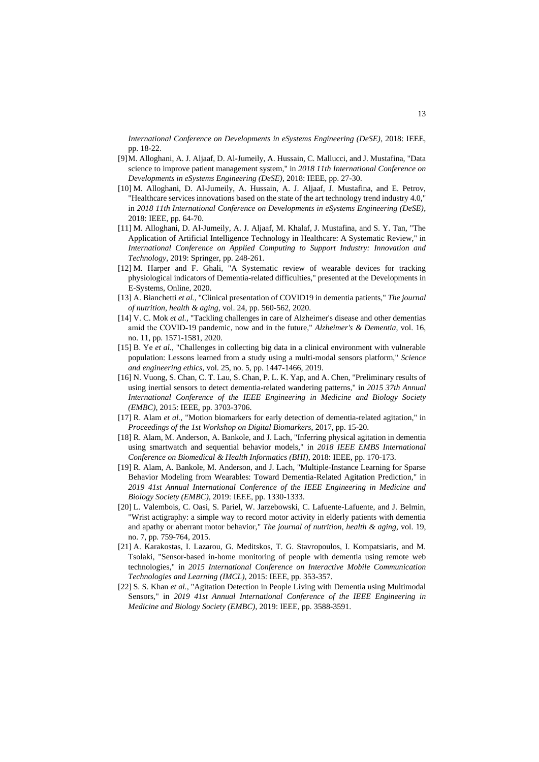*International Conference on Developments in eSystems Engineering (DeSE)*, 2018: IEEE, pp. 18-22.

- [9]M. Alloghani, A. J. Aljaaf, D. Al-Jumeily, A. Hussain, C. Mallucci, and J. Mustafina, "Data science to improve patient management system," in *2018 11th International Conference on Developments in eSystems Engineering (DeSE)*, 2018: IEEE, pp. 27-30.
- [10] M. Alloghani, D. Al-Jumeily, A. Hussain, A. J. Aljaaf, J. Mustafina, and E. Petrov, "Healthcare services innovations based on the state of the art technology trend industry 4.0," in *2018 11th International Conference on Developments in eSystems Engineering (DeSE)*, 2018: IEEE, pp. 64-70.
- [11] M. Alloghani, D. Al-Jumeily, A. J. Aljaaf, M. Khalaf, J. Mustafina, and S. Y. Tan, "The Application of Artificial Intelligence Technology in Healthcare: A Systematic Review," in *International Conference on Applied Computing to Support Industry: Innovation and Technology*, 2019: Springer, pp. 248-261.
- [12] M. Harper and F. Ghali, "A Systematic review of wearable devices for tracking physiological indicators of Dementia-related difficulties," presented at the Developments in E-Systems, Online, 2020.
- [13] A. Bianchetti *et al.*, "Clinical presentation of COVID19 in dementia patients," *The journal of nutrition, health & aging,* vol. 24, pp. 560-562, 2020.
- [14] V. C. Mok et al., "Tackling challenges in care of Alzheimer's disease and other dementias amid the COVID‐19 pandemic, now and in the future," *Alzheimer's & Dementia,* vol. 16, no. 11, pp. 1571-1581, 2020.
- [15] B. Ye *et al.*, "Challenges in collecting big data in a clinical environment with vulnerable population: Lessons learned from a study using a multi-modal sensors platform," *Science and engineering ethics,* vol. 25, no. 5, pp. 1447-1466, 2019.
- [16] N. Vuong, S. Chan, C. T. Lau, S. Chan, P. L. K. Yap, and A. Chen, "Preliminary results of using inertial sensors to detect dementia-related wandering patterns," in *2015 37th Annual International Conference of the IEEE Engineering in Medicine and Biology Society (EMBC)*, 2015: IEEE, pp. 3703-3706.
- [17] R. Alam *et al.*, "Motion biomarkers for early detection of dementia-related agitation," in *Proceedings of the 1st Workshop on Digital Biomarkers*, 2017, pp. 15-20.
- [18] R. Alam, M. Anderson, A. Bankole, and J. Lach, "Inferring physical agitation in dementia using smartwatch and sequential behavior models," in *2018 IEEE EMBS International Conference on Biomedical & Health Informatics (BHI)*, 2018: IEEE, pp. 170-173.
- [19] R. Alam, A. Bankole, M. Anderson, and J. Lach, "Multiple-Instance Learning for Sparse Behavior Modeling from Wearables: Toward Dementia-Related Agitation Prediction," in *2019 41st Annual International Conference of the IEEE Engineering in Medicine and Biology Society (EMBC)*, 2019: IEEE, pp. 1330-1333.
- [20] L. Valembois, C. Oasi, S. Pariel, W. Jarzebowski, C. Lafuente-Lafuente, and J. Belmin, "Wrist actigraphy: a simple way to record motor activity in elderly patients with dementia and apathy or aberrant motor behavior," *The journal of nutrition, health & aging,* vol. 19, no. 7, pp. 759-764, 2015.
- [21] A. Karakostas, I. Lazarou, G. Meditskos, T. G. Stavropoulos, I. Kompatsiaris, and M. Tsolaki, "Sensor-based in-home monitoring of people with dementia using remote web technologies," in *2015 International Conference on Interactive Mobile Communication Technologies and Learning (IMCL)*, 2015: IEEE, pp. 353-357.
- [22] S. S. Khan *et al.*, "Agitation Detection in People Living with Dementia using Multimodal Sensors," in *2019 41st Annual International Conference of the IEEE Engineering in Medicine and Biology Society (EMBC)*, 2019: IEEE, pp. 3588-3591.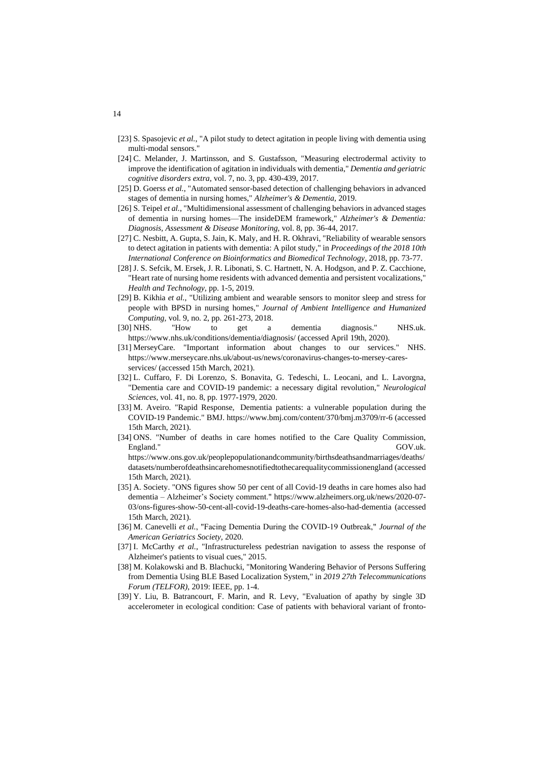- [23] S. Spasojevic *et al.*, "A pilot study to detect agitation in people living with dementia using multi-modal sensors."
- [24] C. Melander, J. Martinsson, and S. Gustafsson, "Measuring electrodermal activity to improve the identification of agitation in individuals with dementia," *Dementia and geriatric cognitive disorders extra,* vol. 7, no. 3, pp. 430-439, 2017.
- [25] D. Goerss *et al.*, "Automated sensor-based detection of challenging behaviors in advanced stages of dementia in nursing homes," *Alzheimer's & Dementia,* 2019.
- [26] S. Teipel *et al.*, "Multidimensional assessment of challenging behaviors in advanced stages of dementia in nursing homes—The insideDEM framework," *Alzheimer's & Dementia: Diagnosis, Assessment & Disease Monitoring,* vol. 8, pp. 36-44, 2017.
- [27] C. Nesbitt, A. Gupta, S. Jain, K. Maly, and H. R. Okhravi, "Reliability of wearable sensors to detect agitation in patients with dementia: A pilot study," in *Proceedings of the 2018 10th International Conference on Bioinformatics and Biomedical Technology*, 2018, pp. 73-77.
- [28] J. S. Sefcik, M. Ersek, J. R. Libonati, S. C. Hartnett, N. A. Hodgson, and P. Z. Cacchione, "Heart rate of nursing home residents with advanced dementia and persistent vocalizations," *Health and Technology,* pp. 1-5, 2019.
- [29] B. Kikhia *et al.*, "Utilizing ambient and wearable sensors to monitor sleep and stress for people with BPSD in nursing homes," *Journal of Ambient Intelligence and Humanized Computing,* vol. 9, no. 2, pp. 261-273, 2018.
- [30] NHS. "How to get a dementia diagnosis." NHS.uk. <https://www.nhs.uk/conditions/dementia/diagnosis/> (accessed April 19th, 2020).
- [31] MerseyCare. "Important information about changes to our services." NHS. [https://www.merseycare.nhs.uk/about-us/news/coronavirus-changes-to-mersey-cares](https://www.merseycare.nhs.uk/about-us/news/coronavirus-changes-to-mersey-cares-services/)[services/](https://www.merseycare.nhs.uk/about-us/news/coronavirus-changes-to-mersey-cares-services/) (accessed 15th March, 2021).
- [32] L. Cuffaro, F. Di Lorenzo, S. Bonavita, G. Tedeschi, L. Leocani, and L. Lavorgna, "Dementia care and COVID-19 pandemic: a necessary digital revolution," *Neurological Sciences,* vol. 41, no. 8, pp. 1977-1979, 2020.
- [33] M. Aveiro. "Rapid Response, Dementia patients: a vulnerable population during the COVID-19 Pandemic." BMJ[. https://www.bmj.com/content/370/bmj.m3709/rr-6](https://www.bmj.com/content/370/bmj.m3709/rr-6) (accessed 15th March, 2021).
- [34] ONS. "Number of deaths in care homes notified to the Care Quality Commission, England." GOV.uk.

[https://www.ons.gov.uk/peoplepopulationandcommunity/birthsdeathsandmarriages/deaths/](https://www.ons.gov.uk/peoplepopulationandcommunity/birthsdeathsandmarriages/deaths/datasets/numberofdeathsincarehomesnotifiedtothecarequalitycommissionengland) [datasets/numberofdeathsincarehomesnotifiedtothecarequalitycommissionengland](https://www.ons.gov.uk/peoplepopulationandcommunity/birthsdeathsandmarriages/deaths/datasets/numberofdeathsincarehomesnotifiedtothecarequalitycommissionengland) (accessed 15th March, 2021).

- [35] A. Society. "ONS figures show 50 per cent of all Covid-19 deaths in care homes also had dementia – Alzheimer's Society comment." [https://www.alzheimers.org.uk/news/2020-07-](https://www.alzheimers.org.uk/news/2020-07-03/ons-figures-show-50-cent-all-covid-19-deaths-care-homes-also-had-dementia) [03/ons-figures-show-50-cent-all-covid-19-deaths-care-homes-also-had-dementia](https://www.alzheimers.org.uk/news/2020-07-03/ons-figures-show-50-cent-all-covid-19-deaths-care-homes-also-had-dementia) (accessed 15th March, 2021).
- [36] M. Canevelli et al., "Facing Dementia During the COVID-19 Outbreak," *Journal of the American Geriatrics Society,* 2020.
- [37] I. McCarthy *et al.*, "Infrastructureless pedestrian navigation to assess the response of Alzheimer's patients to visual cues," 2015.
- [38] M. Kolakowski and B. Blachucki, "Monitoring Wandering Behavior of Persons Suffering from Dementia Using BLE Based Localization System," in *2019 27th Telecommunications Forum (TELFOR)*, 2019: IEEE, pp. 1-4.
- [39] Y. Liu, B. Batrancourt, F. Marin, and R. Levy, "Evaluation of apathy by single 3D accelerometer in ecological condition: Case of patients with behavioral variant of fronto-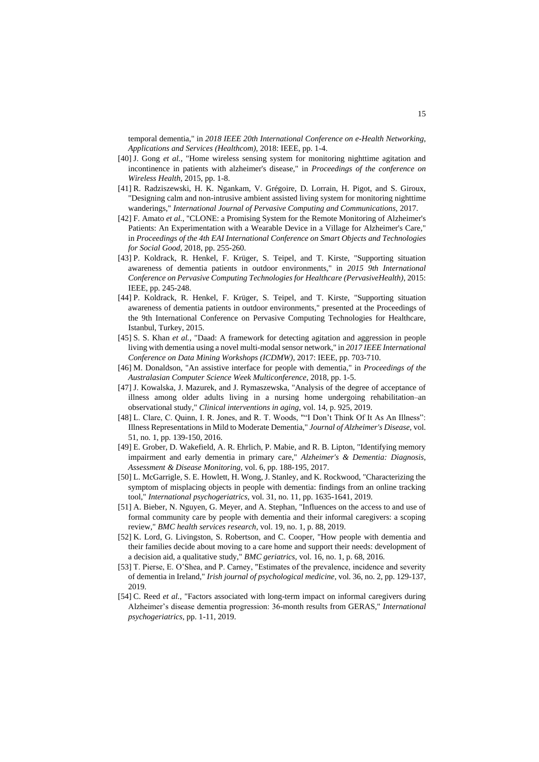temporal dementia," in *2018 IEEE 20th International Conference on e-Health Networking, Applications and Services (Healthcom)*, 2018: IEEE, pp. 1-4.

- [40] J. Gong *et al.*, "Home wireless sensing system for monitoring nighttime agitation and incontinence in patients with alzheimer's disease," in *Proceedings of the conference on Wireless Health*, 2015, pp. 1-8.
- [41] R. Radziszewski, H. K. Ngankam, V. Grégoire, D. Lorrain, H. Pigot, and S. Giroux, "Designing calm and non-intrusive ambient assisted living system for monitoring nighttime wanderings," *International Journal of Pervasive Computing and Communications,* 2017.
- [42] F. Amato *et al.*, "CLONE: a Promising System for the Remote Monitoring of Alzheimer's Patients: An Experimentation with a Wearable Device in a Village for Alzheimer's Care," in *Proceedings of the 4th EAI International Conference on Smart Objects and Technologies for Social Good*, 2018, pp. 255-260.
- [43] P. Koldrack, R. Henkel, F. Krüger, S. Teipel, and T. Kirste, "Supporting situation awareness of dementia patients in outdoor environments," in *2015 9th International Conference on Pervasive Computing Technologies for Healthcare (PervasiveHealth)*, 2015: IEEE, pp. 245-248.
- [44] P. Koldrack, R. Henkel, F. Krüger, S. Teipel, and T. Kirste, "Supporting situation awareness of dementia patients in outdoor environments," presented at the Proceedings of the 9th International Conference on Pervasive Computing Technologies for Healthcare, Istanbul, Turkey, 2015.
- [45] S. S. Khan *et al.*, "Daad: A framework for detecting agitation and aggression in people living with dementia using a novel multi-modal sensor network," in *2017 IEEE International Conference on Data Mining Workshops (ICDMW)*, 2017: IEEE, pp. 703-710.
- [46] M. Donaldson, "An assistive interface for people with dementia," in *Proceedings of the Australasian Computer Science Week Multiconference*, 2018, pp. 1-5.
- [47] J. Kowalska, J. Mazurek, and J. Rymaszewska, "Analysis of the degree of acceptance of illness among older adults living in a nursing home undergoing rehabilitation–an observational study," *Clinical interventions in aging,* vol. 14, p. 925, 2019.
- [48] L. Clare, C. Quinn, I. R. Jones, and R. T. Woods, ""I Don't Think Of It As An Illness": Illness Representations in Mild to Moderate Dementia," *Journal of Alzheimer's Disease,* vol. 51, no. 1, pp. 139-150, 2016.
- [49] E. Grober, D. Wakefield, A. R. Ehrlich, P. Mabie, and R. B. Lipton, "Identifying memory impairment and early dementia in primary care," *Alzheimer's & Dementia: Diagnosis, Assessment & Disease Monitoring,* vol. 6, pp. 188-195, 2017.
- [50] L. McGarrigle, S. E. Howlett, H. Wong, J. Stanley, and K. Rockwood, "Characterizing the symptom of misplacing objects in people with dementia: findings from an online tracking tool," *International psychogeriatrics,* vol. 31, no. 11, pp. 1635-1641, 2019.
- [51] A. Bieber, N. Nguyen, G. Meyer, and A. Stephan, "Influences on the access to and use of formal community care by people with dementia and their informal caregivers: a scoping review," *BMC health services research,* vol. 19, no. 1, p. 88, 2019.
- [52] K. Lord, G. Livingston, S. Robertson, and C. Cooper, "How people with dementia and their families decide about moving to a care home and support their needs: development of a decision aid, a qualitative study," *BMC geriatrics,* vol. 16, no. 1, p. 68, 2016.
- [53] T. Pierse, E. O'Shea, and P. Carney, "Estimates of the prevalence, incidence and severity of dementia in Ireland," *Irish journal of psychological medicine,* vol. 36, no. 2, pp. 129-137, 2019.
- [54] C. Reed *et al.*, "Factors associated with long-term impact on informal caregivers during Alzheimer's disease dementia progression: 36-month results from GERAS," *International psychogeriatrics,* pp. 1-11, 2019.